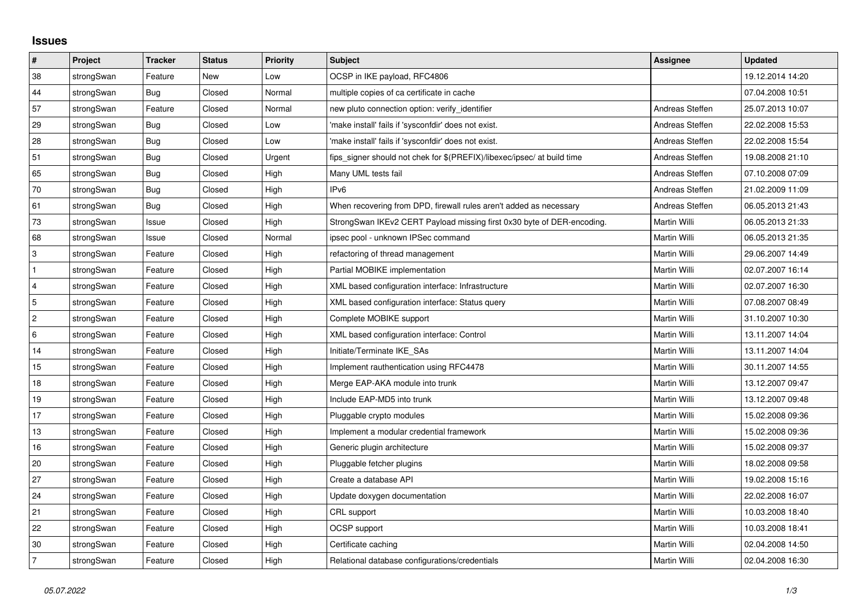## **Issues**

| $\vert$ #      | Project    | <b>Tracker</b> | <b>Status</b> | <b>Priority</b> | <b>Subject</b>                                                          | <b>Assignee</b> | <b>Updated</b>   |
|----------------|------------|----------------|---------------|-----------------|-------------------------------------------------------------------------|-----------------|------------------|
| 38             | strongSwan | Feature        | <b>New</b>    | Low             | OCSP in IKE payload, RFC4806                                            |                 | 19.12.2014 14:20 |
| 44             | strongSwan | Bug            | Closed        | Normal          | multiple copies of ca certificate in cache                              |                 | 07.04.2008 10:51 |
| 57             | strongSwan | Feature        | Closed        | Normal          | new pluto connection option: verify identifier                          | Andreas Steffen | 25.07.2013 10:07 |
| 29             | strongSwan | Bug            | Closed        | Low             | 'make install' fails if 'sysconfdir' does not exist.                    | Andreas Steffen | 22.02.2008 15:53 |
| 28             | strongSwan | Bug            | Closed        | Low             | 'make install' fails if 'sysconfdir' does not exist.                    | Andreas Steffen | 22.02.2008 15:54 |
| 51             | strongSwan | Bug            | Closed        | Urgent          | fips_signer should not chek for \$(PREFIX)/libexec/ipsec/ at build time | Andreas Steffen | 19.08.2008 21:10 |
| 65             | strongSwan | Bug            | Closed        | High            | Many UML tests fail                                                     | Andreas Steffen | 07.10.2008 07:09 |
| 70             | strongSwan | Bug            | Closed        | High            | IP <sub>v6</sub>                                                        | Andreas Steffen | 21.02.2009 11:09 |
| 61             | strongSwan | Bug            | Closed        | High            | When recovering from DPD, firewall rules aren't added as necessary      | Andreas Steffen | 06.05.2013 21:43 |
| 73             | strongSwan | Issue          | Closed        | High            | StrongSwan IKEv2 CERT Payload missing first 0x30 byte of DER-encoding.  | Martin Willi    | 06.05.2013 21:33 |
| 68             | strongSwan | Issue          | Closed        | Normal          | ipsec pool - unknown IPSec command                                      | Martin Willi    | 06.05.2013 21:35 |
| $\overline{3}$ | strongSwan | Feature        | Closed        | High            | refactoring of thread management                                        | Martin Willi    | 29.06.2007 14:49 |
| $\mathbf{1}$   | strongSwan | Feature        | Closed        | High            | Partial MOBIKE implementation                                           | Martin Willi    | 02.07.2007 16:14 |
| $\overline{4}$ | strongSwan | Feature        | Closed        | High            | XML based configuration interface: Infrastructure                       | Martin Willi    | 02.07.2007 16:30 |
| 5              | strongSwan | Feature        | Closed        | High            | XML based configuration interface: Status query                         | Martin Willi    | 07.08.2007 08:49 |
| $\overline{2}$ | strongSwan | Feature        | Closed        | High            | Complete MOBIKE support                                                 | Martin Willi    | 31.10.2007 10:30 |
| 6              | strongSwan | Feature        | Closed        | High            | XML based configuration interface: Control                              | Martin Willi    | 13.11.2007 14:04 |
| 14             | strongSwan | Feature        | Closed        | High            | Initiate/Terminate IKE_SAs                                              | Martin Willi    | 13.11.2007 14:04 |
| 15             | strongSwan | Feature        | Closed        | High            | Implement rauthentication using RFC4478                                 | Martin Willi    | 30.11.2007 14:55 |
| 18             | strongSwan | Feature        | Closed        | High            | Merge EAP-AKA module into trunk                                         | Martin Willi    | 13.12.2007 09:47 |
| 19             | strongSwan | Feature        | Closed        | High            | Include EAP-MD5 into trunk                                              | Martin Willi    | 13.12.2007 09:48 |
| 17             | strongSwan | Feature        | Closed        | High            | Pluggable crypto modules                                                | Martin Willi    | 15.02.2008 09:36 |
| 13             | strongSwan | Feature        | Closed        | High            | Implement a modular credential framework                                | Martin Willi    | 15.02.2008 09:36 |
| 16             | strongSwan | Feature        | Closed        | High            | Generic plugin architecture                                             | Martin Willi    | 15.02.2008 09:37 |
| 20             | strongSwan | Feature        | Closed        | High            | Pluggable fetcher plugins                                               | Martin Willi    | 18.02.2008 09:58 |
| 27             | strongSwan | Feature        | Closed        | High            | Create a database API                                                   | Martin Willi    | 19.02.2008 15:16 |
| 24             | strongSwan | Feature        | Closed        | High            | Update doxygen documentation                                            | Martin Willi    | 22.02.2008 16:07 |
| 21             | strongSwan | Feature        | Closed        | High            | CRL support                                                             | Martin Willi    | 10.03.2008 18:40 |
| 22             | strongSwan | Feature        | Closed        | High            | OCSP support                                                            | Martin Willi    | 10.03.2008 18:41 |
| 30             | strongSwan | Feature        | Closed        | High            | Certificate caching                                                     | Martin Willi    | 02.04.2008 14:50 |
| 7              | strongSwan | Feature        | Closed        | High            | Relational database configurations/credentials                          | Martin Willi    | 02.04.2008 16:30 |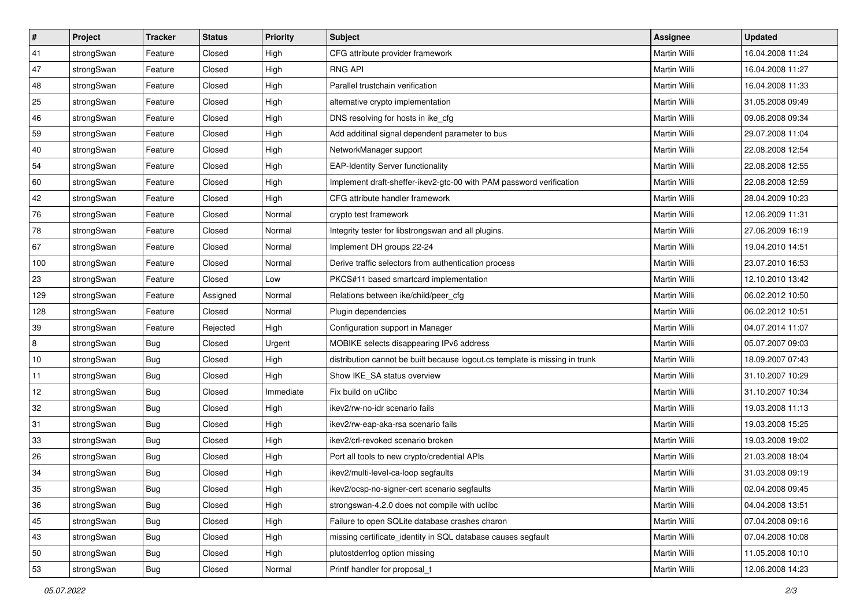| $\vert$ # | Project    | <b>Tracker</b> | <b>Status</b> | <b>Priority</b> | <b>Subject</b>                                                              | Assignee            | <b>Updated</b>   |
|-----------|------------|----------------|---------------|-----------------|-----------------------------------------------------------------------------|---------------------|------------------|
| 41        | strongSwan | Feature        | Closed        | High            | CFG attribute provider framework                                            | Martin Willi        | 16.04.2008 11:24 |
| 47        | strongSwan | Feature        | Closed        | High            | <b>RNG API</b>                                                              | <b>Martin Willi</b> | 16.04.2008 11:27 |
| 48        | strongSwan | Feature        | Closed        | High            | Parallel trustchain verification                                            | Martin Willi        | 16.04.2008 11:33 |
| 25        | strongSwan | Feature        | Closed        | High            | alternative crypto implementation                                           | Martin Willi        | 31.05.2008 09:49 |
| 46        | strongSwan | Feature        | Closed        | High            | DNS resolving for hosts in ike_cfg                                          | Martin Willi        | 09.06.2008 09:34 |
| 59        | strongSwan | Feature        | Closed        | High            | Add additinal signal dependent parameter to bus                             | <b>Martin Willi</b> | 29.07.2008 11:04 |
| 40        | strongSwan | Feature        | Closed        | High            | NetworkManager support                                                      | Martin Willi        | 22.08.2008 12:54 |
| 54        | strongSwan | Feature        | Closed        | High            | <b>EAP-Identity Server functionality</b>                                    | Martin Willi        | 22.08.2008 12:55 |
| 60        | strongSwan | Feature        | Closed        | High            | Implement draft-sheffer-ikev2-gtc-00 with PAM password verification         | Martin Willi        | 22.08.2008 12:59 |
| 42        | strongSwan | Feature        | Closed        | High            | CFG attribute handler framework                                             | Martin Willi        | 28.04.2009 10:23 |
| 76        | strongSwan | Feature        | Closed        | Normal          | crypto test framework                                                       | Martin Willi        | 12.06.2009 11:31 |
| 78        | strongSwan | Feature        | Closed        | Normal          | Integrity tester for libstrongswan and all plugins.                         | Martin Willi        | 27.06.2009 16:19 |
| 67        | strongSwan | Feature        | Closed        | Normal          | Implement DH groups 22-24                                                   | <b>Martin Willi</b> | 19.04.2010 14:51 |
| 100       | strongSwan | Feature        | Closed        | Normal          | Derive traffic selectors from authentication process                        | Martin Willi        | 23.07.2010 16:53 |
| 23        | strongSwan | Feature        | Closed        | Low             | PKCS#11 based smartcard implementation                                      | <b>Martin Willi</b> | 12.10.2010 13:42 |
| 129       | strongSwan | Feature        | Assigned      | Normal          | Relations between ike/child/peer_cfg                                        | Martin Willi        | 06.02.2012 10:50 |
| 128       | strongSwan | Feature        | Closed        | Normal          | Plugin dependencies                                                         | <b>Martin Willi</b> | 06.02.2012 10:51 |
| 39        | strongSwan | Feature        | Rejected      | High            | Configuration support in Manager                                            | Martin Willi        | 04.07.2014 11:07 |
| 8         | strongSwan | <b>Bug</b>     | Closed        | Urgent          | MOBIKE selects disappearing IPv6 address                                    | Martin Willi        | 05.07.2007 09:03 |
| 10        | strongSwan | Bug            | Closed        | High            | distribution cannot be built because logout.cs template is missing in trunk | Martin Willi        | 18.09.2007 07:43 |
| 11        | strongSwan | <b>Bug</b>     | Closed        | High            | Show IKE SA status overview                                                 | Martin Willi        | 31.10.2007 10:29 |
| 12        | strongSwan | <b>Bug</b>     | Closed        | Immediate       | Fix build on uClibc                                                         | Martin Willi        | 31.10.2007 10:34 |
| 32        | strongSwan | Bug            | Closed        | High            | ikev2/rw-no-idr scenario fails                                              | Martin Willi        | 19.03.2008 11:13 |
| 31        | strongSwan | <b>Bug</b>     | Closed        | High            | ikev2/rw-eap-aka-rsa scenario fails                                         | Martin Willi        | 19.03.2008 15:25 |
| 33        | strongSwan | <b>Bug</b>     | Closed        | High            | ikev2/crl-revoked scenario broken                                           | Martin Willi        | 19.03.2008 19:02 |
| 26        | strongSwan | <b>Bug</b>     | Closed        | High            | Port all tools to new crypto/credential APIs                                | Martin Willi        | 21.03.2008 18:04 |
| 34        | strongSwan | Bug            | Closed        | High            | ikev2/multi-level-ca-loop segfaults                                         | Martin Willi        | 31.03.2008 09:19 |
| 35        | strongSwan | Bug            | Closed        | High            | ikev2/ocsp-no-signer-cert scenario segfaults                                | Martin Willi        | 02.04.2008 09:45 |
| 36        | strongSwan | Bug            | Closed        | High            | strongswan-4.2.0 does not compile with uclibe                               | Martin Willi        | 04.04.2008 13:51 |
| 45        | strongSwan | Bug            | Closed        | High            | Failure to open SQLite database crashes charon                              | Martin Willi        | 07.04.2008 09:16 |
| 43        | strongSwan | Bug            | Closed        | High            | missing certificate_identity in SQL database causes segfault                | Martin Willi        | 07.04.2008 10:08 |
| 50        | strongSwan | Bug            | Closed        | High            | plutostderrlog option missing                                               | Martin Willi        | 11.05.2008 10:10 |
| 53        | strongSwan | <b>Bug</b>     | Closed        | Normal          | Printf handler for proposal_t                                               | Martin Willi        | 12.06.2008 14:23 |